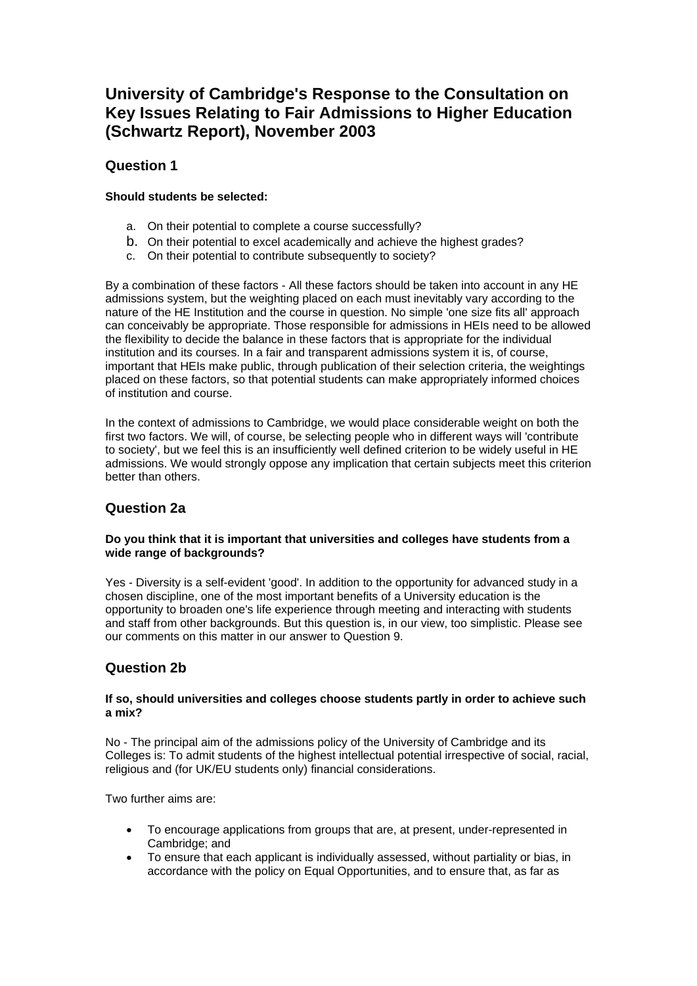# **University of Cambridge's Response to the Consultation on Key Issues Relating to Fair Admissions to Higher Education (Schwartz Report), November 2003**

# **Question 1**

### **Should students be selected:**

- a. On their potential to complete a course successfully?
- b. On their potential to excel academically and achieve the highest grades?
- c. On their potential to contribute subsequently to society?

By a combination of these factors - All these factors should be taken into account in any HE admissions system, but the weighting placed on each must inevitably vary according to the nature of the HE Institution and the course in question. No simple 'one size fits all' approach can conceivably be appropriate. Those responsible for admissions in HEIs need to be allowed the flexibility to decide the balance in these factors that is appropriate for the individual institution and its courses. In a fair and transparent admissions system it is, of course, important that HEIs make public, through publication of their selection criteria, the weightings placed on these factors, so that potential students can make appropriately informed choices of institution and course.

In the context of admissions to Cambridge, we would place considerable weight on both the first two factors. We will, of course, be selecting people who in different ways will 'contribute to society', but we feel this is an insufficiently well defined criterion to be widely useful in HE admissions. We would strongly oppose any implication that certain subjects meet this criterion better than others.

# **Question 2a**

### **Do you think that it is important that universities and colleges have students from a wide range of backgrounds?**

Yes - Diversity is a self-evident 'good'. In addition to the opportunity for advanced study in a chosen discipline, one of the most important benefits of a University education is the opportunity to broaden one's life experience through meeting and interacting with students and staff from other backgrounds. But this question is, in our view, too simplistic. Please see our comments on this matter in our answer to Question 9.

# **Question 2b**

#### **If so, should universities and colleges choose students partly in order to achieve such a mix?**

No - The principal aim of the admissions policy of the University of Cambridge and its Colleges is: To admit students of the highest intellectual potential irrespective of social, racial, religious and (for UK/EU students only) financial considerations.

Two further aims are:

- To encourage applications from groups that are, at present, under-represented in Cambridge; and
- To ensure that each applicant is individually assessed, without partiality or bias, in accordance with the policy on Equal Opportunities, and to ensure that, as far as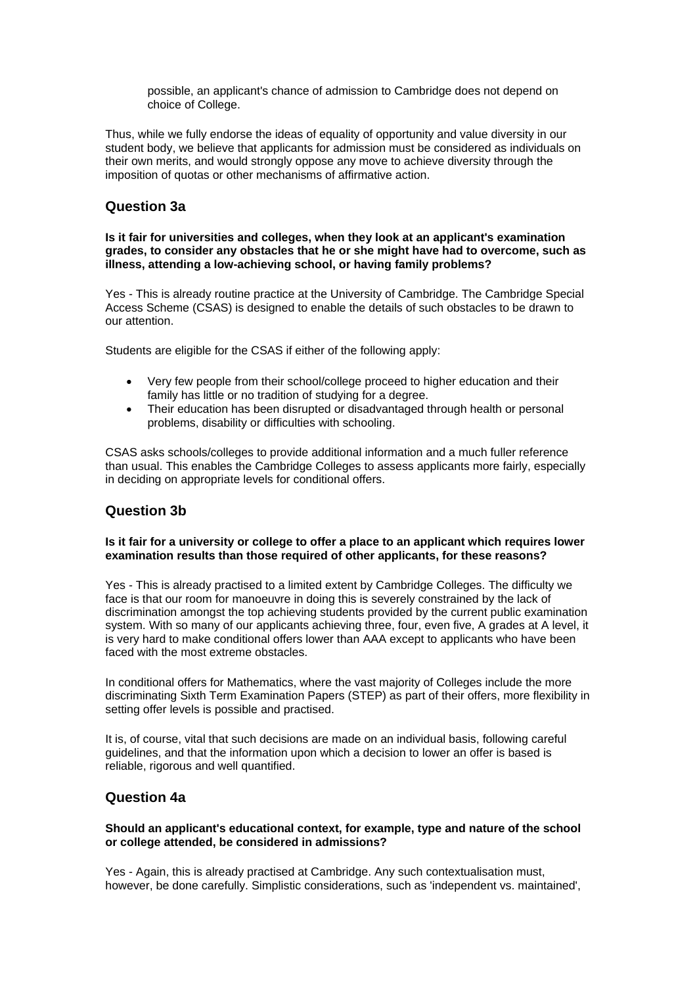possible, an applicant's chance of admission to Cambridge does not depend on choice of College.

Thus, while we fully endorse the ideas of equality of opportunity and value diversity in our student body, we believe that applicants for admission must be considered as individuals on their own merits, and would strongly oppose any move to achieve diversity through the imposition of quotas or other mechanisms of affirmative action.

### **Question 3a**

#### **Is it fair for universities and colleges, when they look at an applicant's examination grades, to consider any obstacles that he or she might have had to overcome, such as illness, attending a low-achieving school, or having family problems?**

Yes - This is already routine practice at the University of Cambridge. The Cambridge Special Access Scheme (CSAS) is designed to enable the details of such obstacles to be drawn to our attention.

Students are eligible for the CSAS if either of the following apply:

- Very few people from their school/college proceed to higher education and their family has little or no tradition of studying for a degree.
- Their education has been disrupted or disadvantaged through health or personal problems, disability or difficulties with schooling.

CSAS asks schools/colleges to provide additional information and a much fuller reference than usual. This enables the Cambridge Colleges to assess applicants more fairly, especially in deciding on appropriate levels for conditional offers.

### **Question 3b**

#### **Is it fair for a university or college to offer a place to an applicant which requires lower examination results than those required of other applicants, for these reasons?**

Yes - This is already practised to a limited extent by Cambridge Colleges. The difficulty we face is that our room for manoeuvre in doing this is severely constrained by the lack of discrimination amongst the top achieving students provided by the current public examination system. With so many of our applicants achieving three, four, even five, A grades at A level, it is very hard to make conditional offers lower than AAA except to applicants who have been faced with the most extreme obstacles.

In conditional offers for Mathematics, where the vast majority of Colleges include the more discriminating Sixth Term Examination Papers (STEP) as part of their offers, more flexibility in setting offer levels is possible and practised.

It is, of course, vital that such decisions are made on an individual basis, following careful guidelines, and that the information upon which a decision to lower an offer is based is reliable, rigorous and well quantified.

### **Question 4a**

#### **Should an applicant's educational context, for example, type and nature of the school or college attended, be considered in admissions?**

Yes - Again, this is already practised at Cambridge. Any such contextualisation must, however, be done carefully. Simplistic considerations, such as 'independent vs. maintained',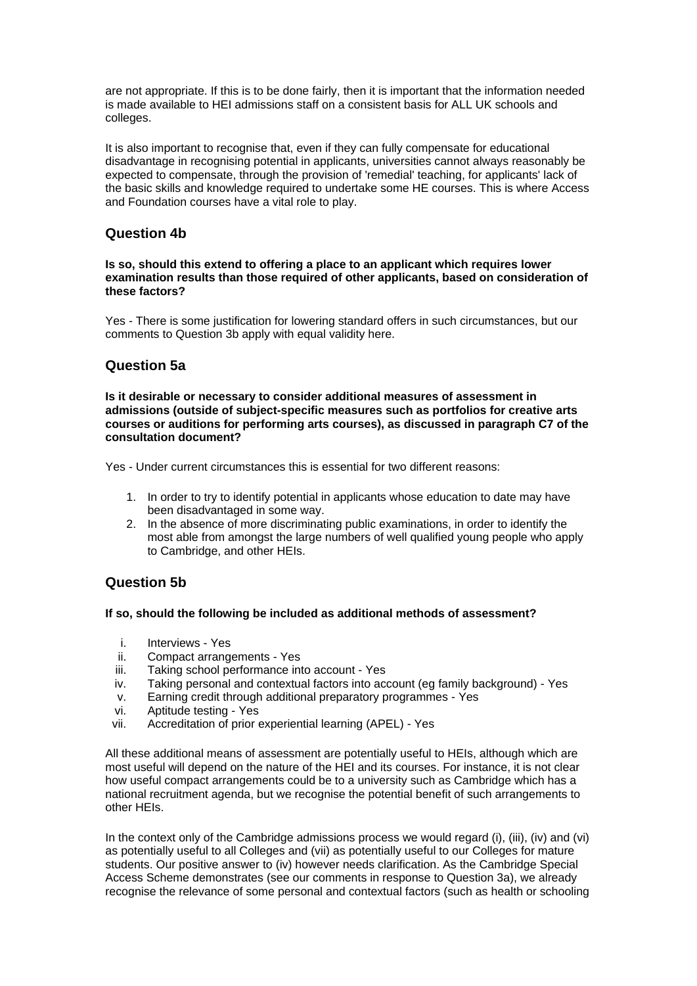are not appropriate. If this is to be done fairly, then it is important that the information needed is made available to HEI admissions staff on a consistent basis for ALL UK schools and colleges.

It is also important to recognise that, even if they can fully compensate for educational disadvantage in recognising potential in applicants, universities cannot always reasonably be expected to compensate, through the provision of 'remedial' teaching, for applicants' lack of the basic skills and knowledge required to undertake some HE courses. This is where Access and Foundation courses have a vital role to play.

### **Question 4b**

**Is so, should this extend to offering a place to an applicant which requires lower examination results than those required of other applicants, based on consideration of these factors?**

Yes - There is some justification for lowering standard offers in such circumstances, but our comments to Question 3b apply with equal validity here.

## **Question 5a**

**Is it desirable or necessary to consider additional measures of assessment in admissions (outside of subject-specific measures such as portfolios for creative arts courses or auditions for performing arts courses), as discussed in paragraph C7 of the consultation document?** 

Yes - Under current circumstances this is essential for two different reasons:

- 1. In order to try to identify potential in applicants whose education to date may have been disadvantaged in some way.
- 2. In the absence of more discriminating public examinations, in order to identify the most able from amongst the large numbers of well qualified young people who apply to Cambridge, and other HEIs.

# **Question 5b**

### **If so, should the following be included as additional methods of assessment?**

- i. Interviews Yes
- ii. Compact arrangements Yes
- iii. Taking school performance into account Yes
- iv. Taking personal and contextual factors into account (eg family background) Yes
- v. Earning credit through additional preparatory programmes Yes
- vi. Aptitude testing Yes
- vii. Accreditation of prior experiential learning (APEL) Yes

All these additional means of assessment are potentially useful to HEIs, although which are most useful will depend on the nature of the HEI and its courses. For instance, it is not clear how useful compact arrangements could be to a university such as Cambridge which has a national recruitment agenda, but we recognise the potential benefit of such arrangements to other HEIs.

In the context only of the Cambridge admissions process we would regard (i), (iii), (iv) and (vi) as potentially useful to all Colleges and (vii) as potentially useful to our Colleges for mature students. Our positive answer to (iv) however needs clarification. As the Cambridge Special Access Scheme demonstrates (see our comments in response to Question 3a), we already recognise the relevance of some personal and contextual factors (such as health or schooling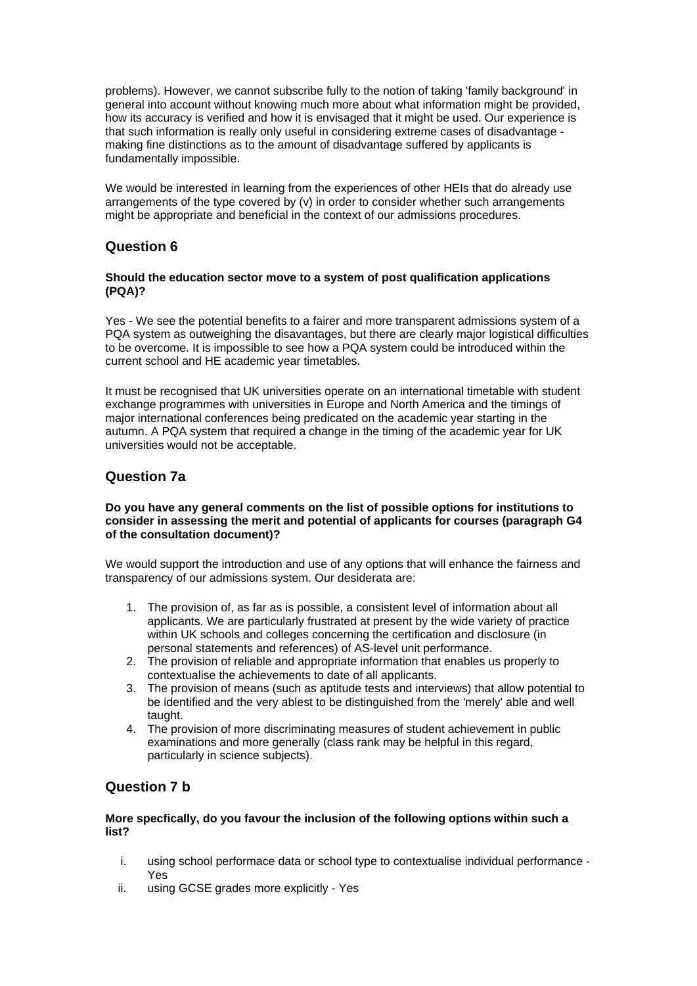problems). However, we cannot subscribe fully to the notion of taking 'family background' in general into account without knowing much more about what information might be provided, how its accuracy is verified and how it is envisaged that it might be used. Our experience is that such information is really only useful in considering extreme cases of disadvantage making fine distinctions as to the amount of disadvantage suffered by applicants is fundamentally impossible.

We would be interested in learning from the experiences of other HEIs that do already use arrangements of the type covered by (v) in order to consider whether such arrangements might be appropriate and beneficial in the context of our admissions procedures.

## **Question 6**

#### **Should the education sector move to a system of post qualification applications (PQA)?**

Yes - We see the potential benefits to a fairer and more transparent admissions system of a PQA system as outweighing the disavantages, but there are clearly major logistical difficulties to be overcome. It is impossible to see how a PQA system could be introduced within the current school and HE academic year timetables.

It must be recognised that UK universities operate on an international timetable with student exchange programmes with universities in Europe and North America and the timings of major international conferences being predicated on the academic year starting in the autumn. A PQA system that required a change in the timing of the academic year for UK universities would not be acceptable.

# **Question 7a**

#### **Do you have any general comments on the list of possible options for institutions to consider in assessing the merit and potential of applicants for courses (paragraph G4 of the consultation document)?**

We would support the introduction and use of any options that will enhance the fairness and transparency of our admissions system. Our desiderata are:

- 1. The provision of, as far as is possible, a consistent level of information about all applicants. We are particularly frustrated at present by the wide variety of practice within UK schools and colleges concerning the certification and disclosure (in personal statements and references) of AS-level unit performance.
- 2. The provision of reliable and appropriate information that enables us properly to contextualise the achievements to date of all applicants.
- 3. The provision of means (such as aptitude tests and interviews) that allow potential to be identified and the very ablest to be distinguished from the 'merely' able and well taught.
- 4. The provision of more discriminating measures of student achievement in public examinations and more generally (class rank may be helpful in this regard, particularly in science subjects).

### **Question 7 b**

#### **More specfically, do you favour the inclusion of the following options within such a list?**

- i. using school performace data or school type to contextualise individual performance Yes
- ii. using GCSE grades more explicitly Yes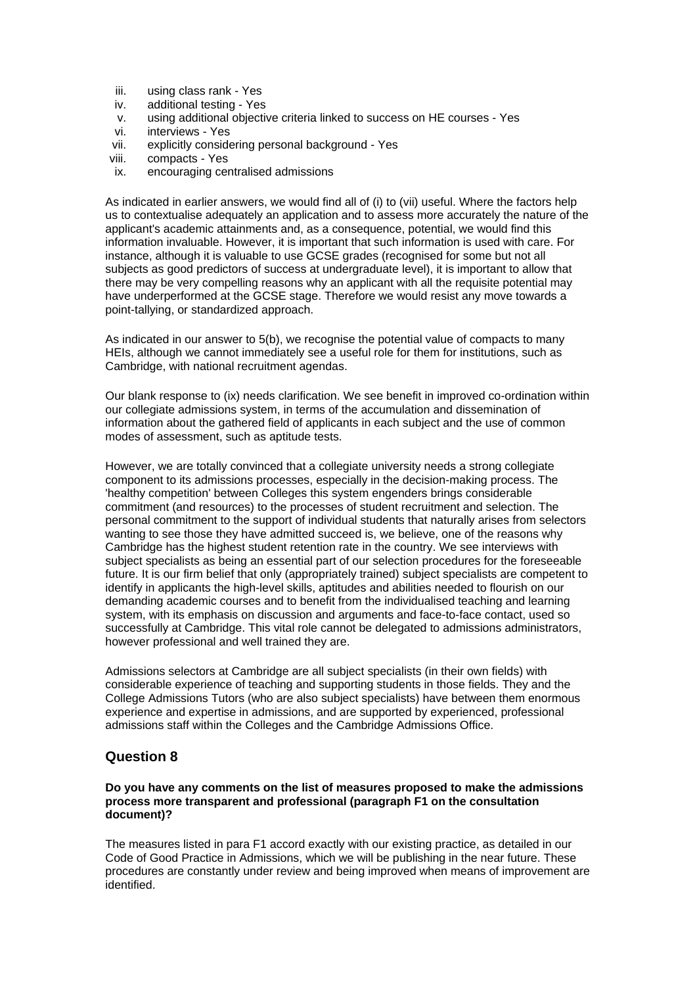- iii. using class rank Yes
- iv. additional testing Yes
- v. using additional objective criteria linked to success on HE courses Yes
- vi. interviews Yes
- vii. explicitly considering personal background Yes
- viii. compacts Yes
- ix. encouraging centralised admissions

As indicated in earlier answers, we would find all of (i) to (vii) useful. Where the factors help us to contextualise adequately an application and to assess more accurately the nature of the applicant's academic attainments and, as a consequence, potential, we would find this information invaluable. However, it is important that such information is used with care. For instance, although it is valuable to use GCSE grades (recognised for some but not all subjects as good predictors of success at undergraduate level), it is important to allow that there may be very compelling reasons why an applicant with all the requisite potential may have underperformed at the GCSE stage. Therefore we would resist any move towards a point-tallying, or standardized approach.

As indicated in our answer to 5(b), we recognise the potential value of compacts to many HEIs, although we cannot immediately see a useful role for them for institutions, such as Cambridge, with national recruitment agendas.

Our blank response to (ix) needs clarification. We see benefit in improved co-ordination within our collegiate admissions system, in terms of the accumulation and dissemination of information about the gathered field of applicants in each subject and the use of common modes of assessment, such as aptitude tests.

However, we are totally convinced that a collegiate university needs a strong collegiate component to its admissions processes, especially in the decision-making process. The 'healthy competition' between Colleges this system engenders brings considerable commitment (and resources) to the processes of student recruitment and selection. The personal commitment to the support of individual students that naturally arises from selectors wanting to see those they have admitted succeed is, we believe, one of the reasons why Cambridge has the highest student retention rate in the country. We see interviews with subject specialists as being an essential part of our selection procedures for the foreseeable future. It is our firm belief that only (appropriately trained) subject specialists are competent to identify in applicants the high-level skills, aptitudes and abilities needed to flourish on our demanding academic courses and to benefit from the individualised teaching and learning system, with its emphasis on discussion and arguments and face-to-face contact, used so successfully at Cambridge. This vital role cannot be delegated to admissions administrators, however professional and well trained they are.

Admissions selectors at Cambridge are all subject specialists (in their own fields) with considerable experience of teaching and supporting students in those fields. They and the College Admissions Tutors (who are also subject specialists) have between them enormous experience and expertise in admissions, and are supported by experienced, professional admissions staff within the Colleges and the Cambridge Admissions Office.

### **Question 8**

**Do you have any comments on the list of measures proposed to make the admissions process more transparent and professional (paragraph F1 on the consultation document)?**

The measures listed in para F1 accord exactly with our existing practice, as detailed in our Code of Good Practice in Admissions, which we will be publishing in the near future. These procedures are constantly under review and being improved when means of improvement are identified.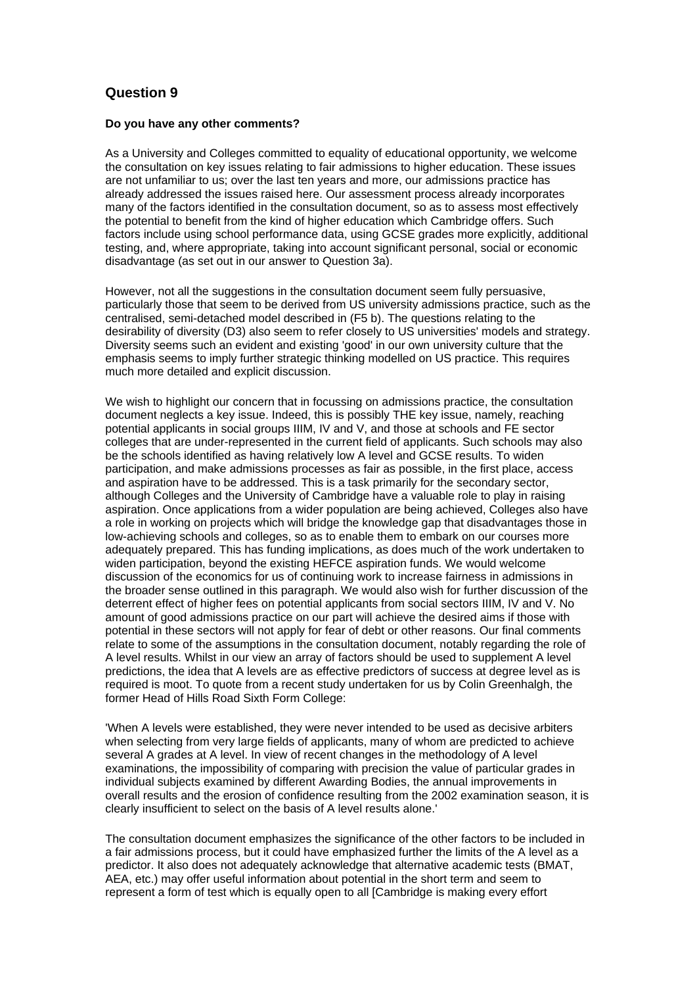## **Question 9**

#### **Do you have any other comments?**

As a University and Colleges committed to equality of educational opportunity, we welcome the consultation on key issues relating to fair admissions to higher education. These issues are not unfamiliar to us; over the last ten years and more, our admissions practice has already addressed the issues raised here. Our assessment process already incorporates many of the factors identified in the consultation document, so as to assess most effectively the potential to benefit from the kind of higher education which Cambridge offers. Such factors include using school performance data, using GCSE grades more explicitly, additional testing, and, where appropriate, taking into account significant personal, social or economic disadvantage (as set out in our answer to Question 3a).

However, not all the suggestions in the consultation document seem fully persuasive, particularly those that seem to be derived from US university admissions practice, such as the centralised, semi-detached model described in (F5 b). The questions relating to the desirability of diversity (D3) also seem to refer closely to US universities' models and strategy. Diversity seems such an evident and existing 'good' in our own university culture that the emphasis seems to imply further strategic thinking modelled on US practice. This requires much more detailed and explicit discussion.

We wish to highlight our concern that in focussing on admissions practice, the consultation document neglects a key issue. Indeed, this is possibly THE key issue, namely, reaching potential applicants in social groups IIIM, IV and V, and those at schools and FE sector colleges that are under-represented in the current field of applicants. Such schools may also be the schools identified as having relatively low A level and GCSE results. To widen participation, and make admissions processes as fair as possible, in the first place, access and aspiration have to be addressed. This is a task primarily for the secondary sector, although Colleges and the University of Cambridge have a valuable role to play in raising aspiration. Once applications from a wider population are being achieved, Colleges also have a role in working on projects which will bridge the knowledge gap that disadvantages those in low-achieving schools and colleges, so as to enable them to embark on our courses more adequately prepared. This has funding implications, as does much of the work undertaken to widen participation, beyond the existing HEFCE aspiration funds. We would welcome discussion of the economics for us of continuing work to increase fairness in admissions in the broader sense outlined in this paragraph. We would also wish for further discussion of the deterrent effect of higher fees on potential applicants from social sectors IIIM, IV and V. No amount of good admissions practice on our part will achieve the desired aims if those with potential in these sectors will not apply for fear of debt or other reasons. Our final comments relate to some of the assumptions in the consultation document, notably regarding the role of A level results. Whilst in our view an array of factors should be used to supplement A level predictions, the idea that A levels are as effective predictors of success at degree level as is required is moot. To quote from a recent study undertaken for us by Colin Greenhalgh, the former Head of Hills Road Sixth Form College:

'When A levels were established, they were never intended to be used as decisive arbiters when selecting from very large fields of applicants, many of whom are predicted to achieve several A grades at A level. In view of recent changes in the methodology of A level examinations, the impossibility of comparing with precision the value of particular grades in individual subjects examined by different Awarding Bodies, the annual improvements in overall results and the erosion of confidence resulting from the 2002 examination season, it is clearly insufficient to select on the basis of A level results alone.'

The consultation document emphasizes the significance of the other factors to be included in a fair admissions process, but it could have emphasized further the limits of the A level as a predictor. It also does not adequately acknowledge that alternative academic tests (BMAT, AEA, etc.) may offer useful information about potential in the short term and seem to represent a form of test which is equally open to all [Cambridge is making every effort